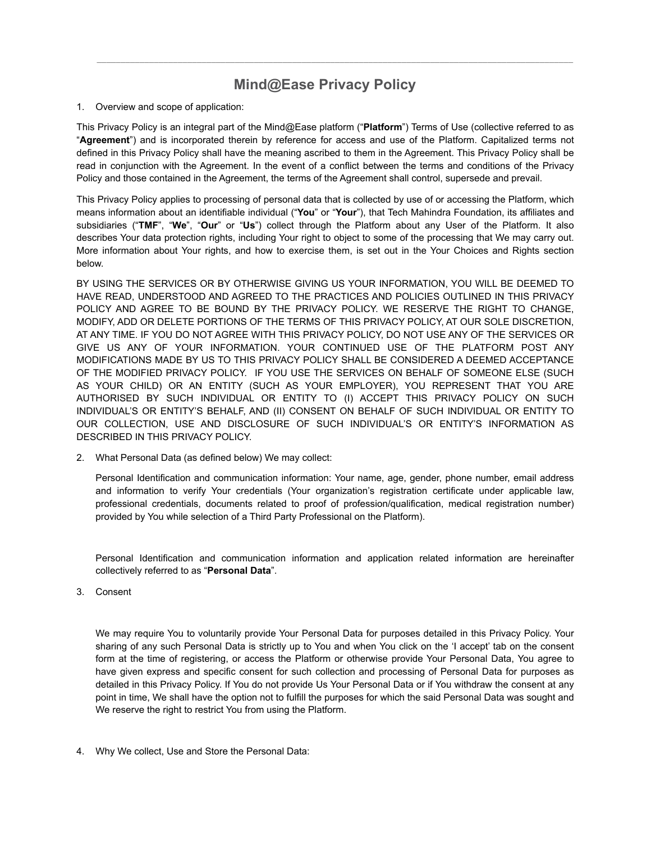## **Mind@Ease Privacy Policy**

*\_\_\_\_\_\_\_\_\_\_\_\_\_\_\_\_\_\_\_\_\_\_\_\_\_\_\_\_\_\_\_\_\_\_\_\_\_\_\_\_\_\_\_\_\_\_\_\_\_\_\_\_\_\_\_\_\_\_\_\_\_\_\_\_\_\_\_\_\_\_\_\_\_\_\_\_\_\_\_\_\_\_\_\_\_\_\_\_\_\_\_\_\_\_\_\_\_\_\_\_* 

## 1. Overview and scope of application:

This Privacy Policy is an integral part of the Mind@Ease platform ("**Platform**") Terms of Use (collective referred to as "**Agreement**") and is incorporated therein by reference for access and use of the Platform. Capitalized terms not defined in this Privacy Policy shall have the meaning ascribed to them in the Agreement. This Privacy Policy shall be read in conjunction with the Agreement. In the event of a conflict between the terms and conditions of the Privacy Policy and those contained in the Agreement, the terms of the Agreement shall control, supersede and prevail.

This Privacy Policy applies to processing of personal data that is collected by use of or accessing the Platform, which means information about an identifiable individual ("**You**" or "**Your**"), that Tech Mahindra Foundation, its affiliates and subsidiaries ("**TMF**", "**We**", "**Our**" or "**Us**") collect through the Platform about any User of the Platform. It also describes Your data protection rights, including Your right to object to some of the processing that We may carry out. More information about Your rights, and how to exercise them, is set out in the Your Choices and Rights section below.

BY USING THE SERVICES OR BY OTHERWISE GIVING US YOUR INFORMATION, YOU WILL BE DEEMED TO HAVE READ, UNDERSTOOD AND AGREED TO THE PRACTICES AND POLICIES OUTLINED IN THIS PRIVACY POLICY AND AGREE TO BE BOUND BY THE PRIVACY POLICY. WE RESERVE THE RIGHT TO CHANGE, MODIFY, ADD OR DELETE PORTIONS OF THE TERMS OF THIS PRIVACY POLICY, AT OUR SOLE DISCRETION, AT ANY TIME. IF YOU DO NOT AGREE WITH THIS PRIVACY POLICY, DO NOT USE ANY OF THE SERVICES OR GIVE US ANY OF YOUR INFORMATION. YOUR CONTINUED USE OF THE PLATFORM POST ANY MODIFICATIONS MADE BY US TO THIS PRIVACY POLICY SHALL BE CONSIDERED A DEEMED ACCEPTANCE OF THE MODIFIED PRIVACY POLICY. IF YOU USE THE SERVICES ON BEHALF OF SOMEONE ELSE (SUCH AS YOUR CHILD) OR AN ENTITY (SUCH AS YOUR EMPLOYER), YOU REPRESENT THAT YOU ARE AUTHORISED BY SUCH INDIVIDUAL OR ENTITY TO (I) ACCEPT THIS PRIVACY POLICY ON SUCH INDIVIDUAL'S OR ENTITY'S BEHALF, AND (II) CONSENT ON BEHALF OF SUCH INDIVIDUAL OR ENTITY TO OUR COLLECTION, USE AND DISCLOSURE OF SUCH INDIVIDUAL'S OR ENTITY'S INFORMATION AS DESCRIBED IN THIS PRIVACY POLICY.

2. What Personal Data (as defined below) We may collect:

Personal Identification and communication information: Your name, age, gender, phone number, email address and information to verify Your credentials (Your organization's registration certificate under applicable law, professional credentials, documents related to proof of profession/qualification, medical registration number) provided by You while selection of a Third Party Professional on the Platform).

Personal Identification and communication information and application related information are hereinafter collectively referred to as "**Personal Data**".

3. Consent

We may require You to voluntarily provide Your Personal Data for purposes detailed in this Privacy Policy. Your sharing of any such Personal Data is strictly up to You and when You click on the 'I accept' tab on the consent form at the time of registering, or access the Platform or otherwise provide Your Personal Data, You agree to have given express and specific consent for such collection and processing of Personal Data for purposes as detailed in this Privacy Policy. If You do not provide Us Your Personal Data or if You withdraw the consent at any point in time, We shall have the option not to fulfill the purposes for which the said Personal Data was sought and We reserve the right to restrict You from using the Platform.

4. Why We collect, Use and Store the Personal Data: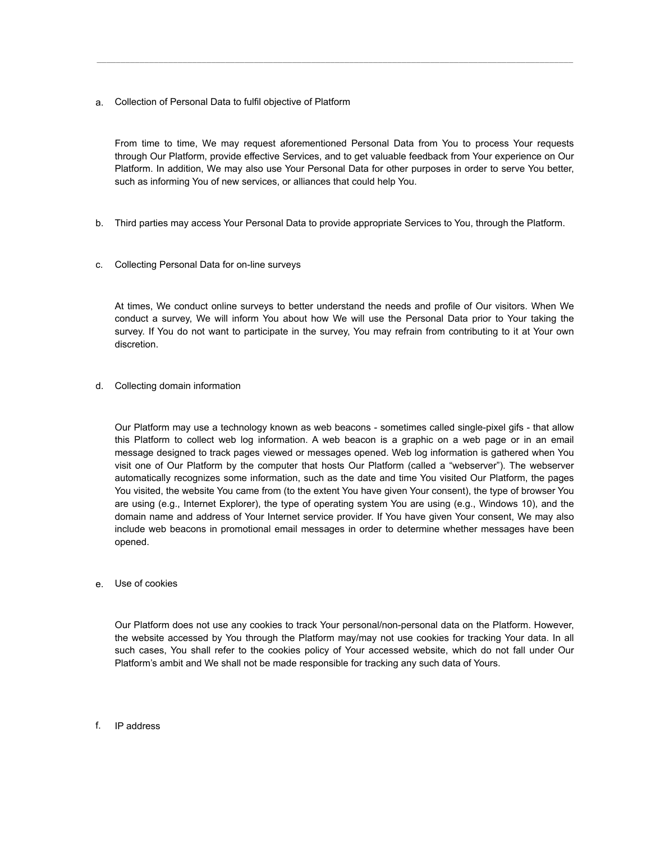a. Collection of Personal Data to fulfil objective of Platform

From time to time, We may request aforementioned Personal Data from You to process Your requests through Our Platform, provide effective Services, and to get valuable feedback from Your experience on Our Platform. In addition, We may also use Your Personal Data for other purposes in order to serve You better, such as informing You of new services, or alliances that could help You.

*\_\_\_\_\_\_\_\_\_\_\_\_\_\_\_\_\_\_\_\_\_\_\_\_\_\_\_\_\_\_\_\_\_\_\_\_\_\_\_\_\_\_\_\_\_\_\_\_\_\_\_\_\_\_\_\_\_\_\_\_\_\_\_\_\_\_\_\_\_\_\_\_\_\_\_\_\_\_\_\_\_\_\_\_\_\_\_\_\_\_\_\_\_\_\_\_\_\_\_\_* 

- b. Third parties may access Your Personal Data to provide appropriate Services to You, through the Platform.
- c. Collecting Personal Data for on-line surveys

At times, We conduct online surveys to better understand the needs and profile of Our visitors. When We conduct a survey, We will inform You about how We will use the Personal Data prior to Your taking the survey. If You do not want to participate in the survey, You may refrain from contributing to it at Your own discretion.

d. Collecting domain information

Our Platform may use a technology known as web beacons - sometimes called single-pixel gifs - that allow this Platform to collect web log information. A web beacon is a graphic on a web page or in an email message designed to track pages viewed or messages opened. Web log information is gathered when You visit one of Our Platform by the computer that hosts Our Platform (called a "webserver"). The webserver automatically recognizes some information, such as the date and time You visited Our Platform, the pages You visited, the website You came from (to the extent You have given Your consent), the type of browser You are using (e.g., Internet Explorer), the type of operating system You are using (e.g., Windows 10), and the domain name and address of Your Internet service provider. If You have given Your consent, We may also include web beacons in promotional email messages in order to determine whether messages have been opened.

e. Use of cookies

Our Platform does not use any cookies to track Your personal/non-personal data on the Platform. However, the website accessed by You through the Platform may/may not use cookies for tracking Your data. In all such cases, You shall refer to the cookies policy of Your accessed website, which do not fall under Our Platform's ambit and We shall not be made responsible for tracking any such data of Yours.

f. IP address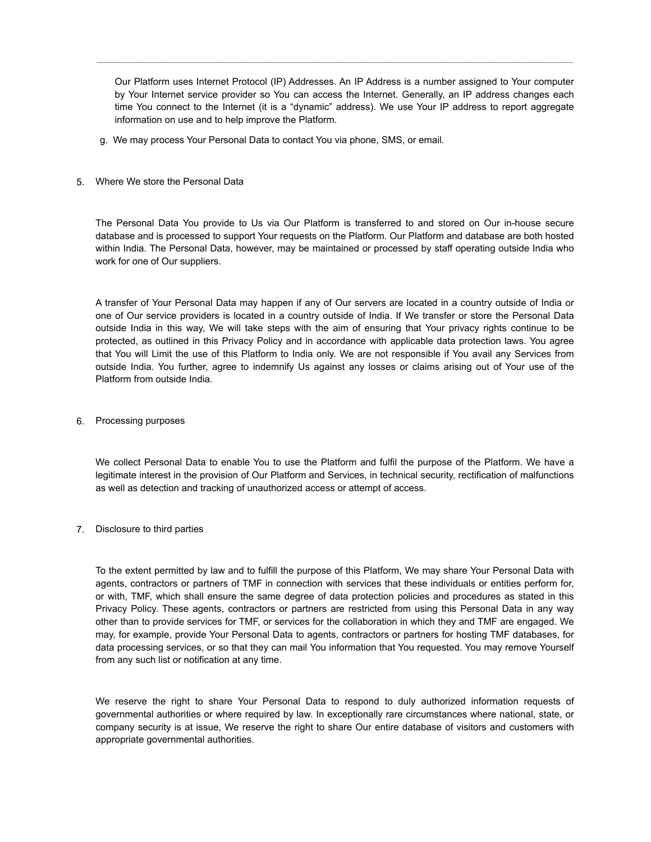Our Platform uses Internet Protocol (IP) Addresses. An IP Address is a number assigned to Your computer by Your Internet service provider so You can access the Internet. Generally, an IP address changes each time You connect to the Internet (it is a "dynamic" address). We use Your IP address to report aggregate information on use and to help improve the Platform.

*\_\_\_\_\_\_\_\_\_\_\_\_\_\_\_\_\_\_\_\_\_\_\_\_\_\_\_\_\_\_\_\_\_\_\_\_\_\_\_\_\_\_\_\_\_\_\_\_\_\_\_\_\_\_\_\_\_\_\_\_\_\_\_\_\_\_\_\_\_\_\_\_\_\_\_\_\_\_\_\_\_\_\_\_\_\_\_\_\_\_\_\_\_\_\_\_\_\_\_\_* 

- g. We may process Your Personal Data to contact You via phone, SMS, or email.
- 5. Where We store the Personal Data

The Personal Data You provide to Us via Our Platform is transferred to and stored on Our in-house secure database and is processed to support Your requests on the Platform. Our Platform and database are both hosted within India. The Personal Data, however, may be maintained or processed by staff operating outside India who work for one of Our suppliers.

A transfer of Your Personal Data may happen if any of Our servers are located in a country outside of India or one of Our service providers is located in a country outside of India. If We transfer or store the Personal Data outside India in this way, We will take steps with the aim of ensuring that Your privacy rights continue to be protected, as outlined in this Privacy Policy and in accordance with applicable data protection laws. You agree that You will Limit the use of this Platform to India only. We are not responsible if You avail any Services from outside India. You further, agree to indemnify Us against any losses or claims arising out of Your use of the Platform from outside India.

6. Processing purposes

We collect Personal Data to enable You to use the Platform and fulfil the purpose of the Platform. We have a legitimate interest in the provision of Our Platform and Services, in technical security, rectification of malfunctions as well as detection and tracking of unauthorized access or attempt of access.

7. Disclosure to third parties

To the extent permitted by law and to fulfill the purpose of this Platform, We may share Your Personal Data with agents, contractors or partners of TMF in connection with services that these individuals or entities perform for, or with, TMF, which shall ensure the same degree of data protection policies and procedures as stated in this Privacy Policy. These agents, contractors or partners are restricted from using this Personal Data in any way other than to provide services for TMF, or services for the collaboration in which they and TMF are engaged. We may, for example, provide Your Personal Data to agents, contractors or partners for hosting TMF databases, for data processing services, or so that they can mail You information that You requested. You may remove Yourself from any such list or notification at any time.

We reserve the right to share Your Personal Data to respond to duly authorized information requests of governmental authorities or where required by law. In exceptionally rare circumstances where national, state, or company security is at issue, We reserve the right to share Our entire database of visitors and customers with appropriate governmental authorities.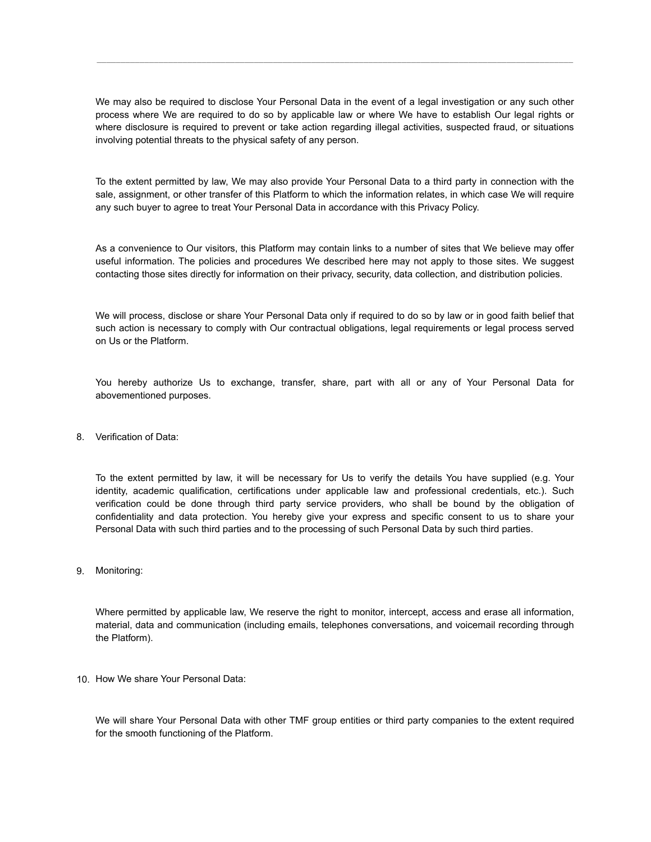We may also be required to disclose Your Personal Data in the event of a legal investigation or any such other process where We are required to do so by applicable law or where We have to establish Our legal rights or where disclosure is required to prevent or take action regarding illegal activities, suspected fraud, or situations involving potential threats to the physical safety of any person.

*\_\_\_\_\_\_\_\_\_\_\_\_\_\_\_\_\_\_\_\_\_\_\_\_\_\_\_\_\_\_\_\_\_\_\_\_\_\_\_\_\_\_\_\_\_\_\_\_\_\_\_\_\_\_\_\_\_\_\_\_\_\_\_\_\_\_\_\_\_\_\_\_\_\_\_\_\_\_\_\_\_\_\_\_\_\_\_\_\_\_\_\_\_\_\_\_\_\_\_\_* 

To the extent permitted by law, We may also provide Your Personal Data to a third party in connection with the sale, assignment, or other transfer of this Platform to which the information relates, in which case We will require any such buyer to agree to treat Your Personal Data in accordance with this Privacy Policy.

As a convenience to Our visitors, this Platform may contain links to a number of sites that We believe may offer useful information. The policies and procedures We described here may not apply to those sites. We suggest contacting those sites directly for information on their privacy, security, data collection, and distribution policies.

We will process, disclose or share Your Personal Data only if required to do so by law or in good faith belief that such action is necessary to comply with Our contractual obligations, legal requirements or legal process served on Us or the Platform.

You hereby authorize Us to exchange, transfer, share, part with all or any of Your Personal Data for abovementioned purposes.

8. Verification of Data:

To the extent permitted by law, it will be necessary for Us to verify the details You have supplied (e.g. Your identity, academic qualification, certifications under applicable law and professional credentials, etc.). Such verification could be done through third party service providers, who shall be bound by the obligation of confidentiality and data protection. You hereby give your express and specific consent to us to share your Personal Data with such third parties and to the processing of such Personal Data by such third parties.

9. Monitoring:

Where permitted by applicable law, We reserve the right to monitor, intercept, access and erase all information, material, data and communication (including emails, telephones conversations, and voicemail recording through the Platform).

10. How We share Your Personal Data:

We will share Your Personal Data with other TMF group entities or third party companies to the extent required for the smooth functioning of the Platform.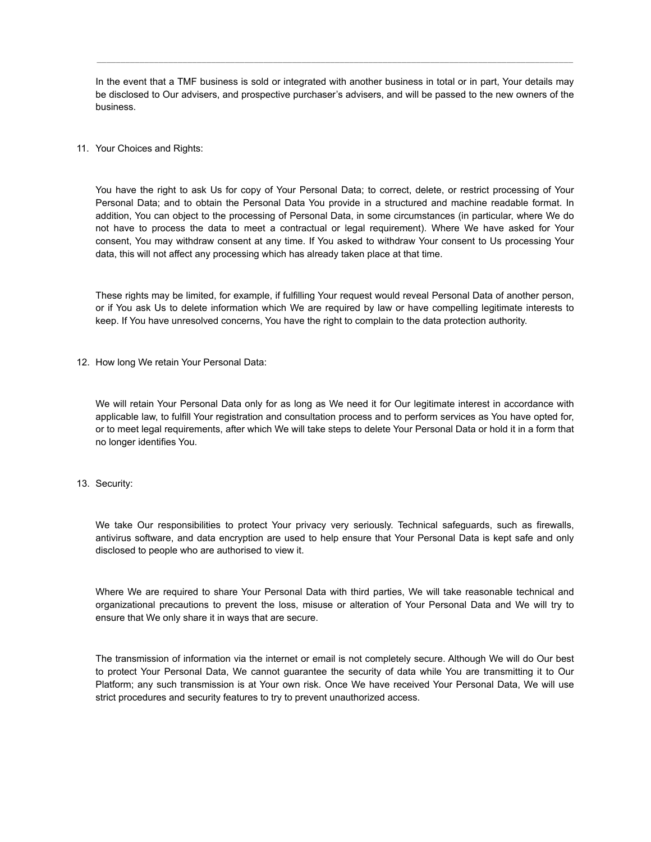In the event that a TMF business is sold or integrated with another business in total or in part, Your details may be disclosed to Our advisers, and prospective purchaser's advisers, and will be passed to the new owners of the business.

*\_\_\_\_\_\_\_\_\_\_\_\_\_\_\_\_\_\_\_\_\_\_\_\_\_\_\_\_\_\_\_\_\_\_\_\_\_\_\_\_\_\_\_\_\_\_\_\_\_\_\_\_\_\_\_\_\_\_\_\_\_\_\_\_\_\_\_\_\_\_\_\_\_\_\_\_\_\_\_\_\_\_\_\_\_\_\_\_\_\_\_\_\_\_\_\_\_\_\_\_* 

11. Your Choices and Rights:

You have the right to ask Us for copy of Your Personal Data; to correct, delete, or restrict processing of Your Personal Data; and to obtain the Personal Data You provide in a structured and machine readable format. In addition, You can object to the processing of Personal Data, in some circumstances (in particular, where We do not have to process the data to meet a contractual or legal requirement). Where We have asked for Your consent, You may withdraw consent at any time. If You asked to withdraw Your consent to Us processing Your data, this will not affect any processing which has already taken place at that time.

These rights may be limited, for example, if fulfilling Your request would reveal Personal Data of another person, or if You ask Us to delete information which We are required by law or have compelling legitimate interests to keep. If You have unresolved concerns, You have the right to complain to the data protection authority.

12. How long We retain Your Personal Data:

We will retain Your Personal Data only for as long as We need it for Our legitimate interest in accordance with applicable law, to fulfill Your registration and consultation process and to perform services as You have opted for, or to meet legal requirements, after which We will take steps to delete Your Personal Data or hold it in a form that no longer identifies You.

13. Security:

We take Our responsibilities to protect Your privacy very seriously. Technical safeguards, such as firewalls, antivirus software, and data encryption are used to help ensure that Your Personal Data is kept safe and only disclosed to people who are authorised to view it.

Where We are required to share Your Personal Data with third parties, We will take reasonable technical and organizational precautions to prevent the loss, misuse or alteration of Your Personal Data and We will try to ensure that We only share it in ways that are secure.

The transmission of information via the internet or email is not completely secure. Although We will do Our best to protect Your Personal Data, We cannot guarantee the security of data while You are transmitting it to Our Platform; any such transmission is at Your own risk. Once We have received Your Personal Data, We will use strict procedures and security features to try to prevent unauthorized access.